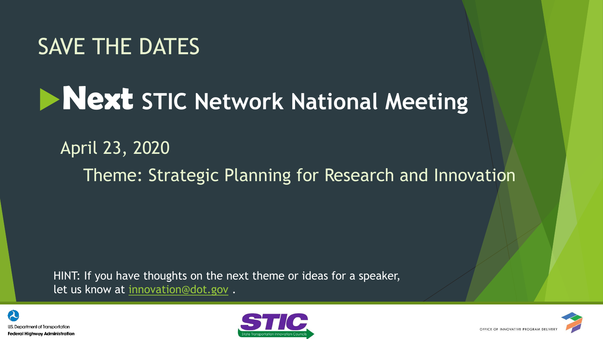#### SAVE THE DATES

## **Next STIC Network National Meeting**

#### April 23, 2020 Theme: Strategic Planning for Research and Innovation

HINT: If you have thoughts on the next theme or ideas for a speaker, let us know at [innovation@dot.gov](mailto:innovation@dot.gov) .





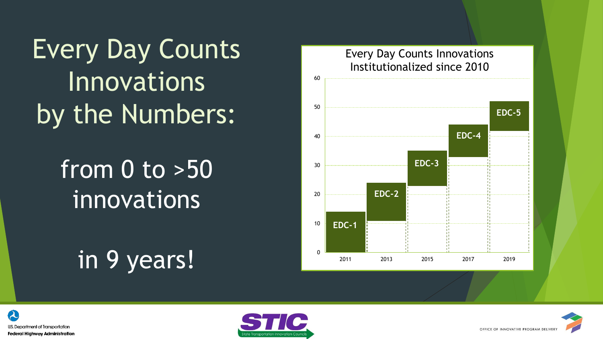Every Day Counts **Innovations** by the Numbers:

### from 0 to >50 innovations

### in 9 years!







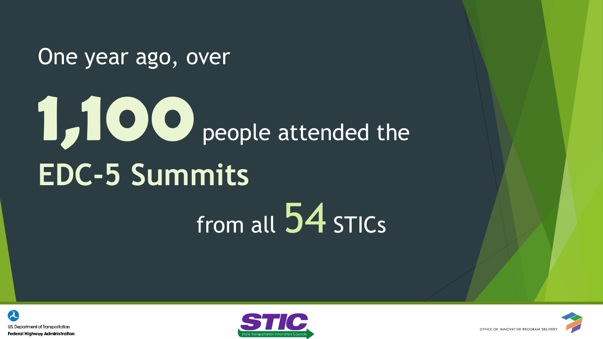One year ago, over

# **1,100** people attended the **EDC-5 Summits** from all 54 STICs





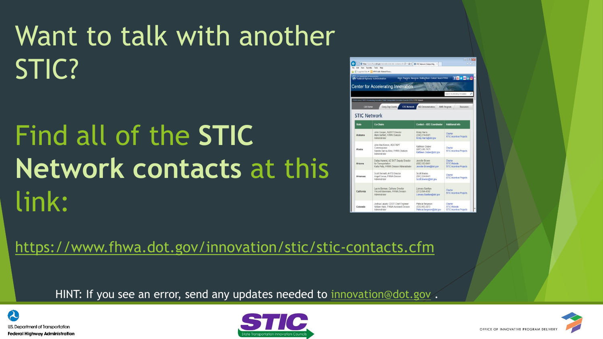# Want to talk with another STIC?

# Find all of the **STIC Network contacts** at this link:

<https://www.fhwa.dot.gov/innovation/stic/stic-contacts.cfm>

HINT: If you see an error, send any updates needed to [innovation@dot.gov](mailto:innovation@dot.gov).





|                                     | → https://www.fhwa.dot.gov/innousbon/stic/stic-contacts.cfm $D$ + A C   ● STIC Network   Federal Hig X                                                                                  |                                                                  | 音安克                                                                                          |
|-------------------------------------|-----------------------------------------------------------------------------------------------------------------------------------------------------------------------------------------|------------------------------------------------------------------|----------------------------------------------------------------------------------------------|
| Edit View Favorites Tools Help      | Supported Sites . L. HPA Public Material Revie                                                                                                                                          |                                                                  |                                                                                              |
| U.S. Copamnent of Transcriptor      | <b>Federal Highway Administration</b><br>enter for Accelerating Innovation<br>VA Home / CIPD / Accelerating Innovation / State Transportation Innovation Councils (STIC) / STIC Network | About Programs Resources Briefing Room Contact Search FHWA       | $f$ $\mathbf{B}$ $\mathbf{v}$ $\mathbf{C}$ in $\mathbf{O}$<br>Search Accelerating Innovation |
| <b>CAI Home</b>                     | Every Day Counts<br><b>STIC Network</b>                                                                                                                                                 | <b>AID Demonstration</b>                                         | <b>AMR Program</b><br><b>Resources</b>                                                       |
| <b>STIC Network</b><br><b>State</b> | <b>Co-Chairs</b>                                                                                                                                                                        | <b>Contact - EDC Coordinator</b>                                 | <b>Additional Info</b>                                                                       |
|                                     |                                                                                                                                                                                         |                                                                  |                                                                                              |
| Alabama                             | John Cooper, ALDOT Director<br>Mark Bartlett, FHWA Division<br>Administrator                                                                                                            | Kristy Harris<br>(334) 274-6361<br>Kristy.Harris@dot.gov         | Charter<br><b>STIC Incentive Projects</b>                                                    |
| Alaska                              | John MacKinnon, ADOT&PF<br>Commissioner<br>Sandra Garcia-Aline, FHWA Division<br>Administrator                                                                                          | Kathleen Graber<br>(907) 586-7421<br>Kathleen Graber@dot gov     | Charter<br><b>STIC Incentive Projects</b>                                                    |
| Arizona                             | Dallas Hammit, AZ DOT Deputy Director<br>for Transportation<br>Karla Petty, FHWA Division Administrator                                                                                 | Jennifer Brown<br>(602) 382-8961<br>Jennifer Brown@dot.gov       | Charter<br><b>STIC Website</b><br><b>STIC Incentive Projects</b>                             |
| <b>Arkansas</b>                     | Scott Bennett, AHTD Director<br>Angel Correa, FHWA Division.<br>Administrator                                                                                                           | Scott Bowles<br>(501) 324-6441<br>Scott Bowles@dot.gov           | Charler<br><b>STIC Incentive Projects</b>                                                    |
| California                          | Laurie Berman, Caltrans Director<br>Vincent Mammano. FHWA Division<br>Administrator                                                                                                     | Lismary Gavillan<br>(213) 894-4597<br>Lismary Gavillan@dot.gov   | Charter<br><b>STIC Incentive Projects</b>                                                    |
| Colorado                            | Joshua Laipply, CDOT Chief Engineer<br>William Haas. FHWA Assistant Division<br>Administrator                                                                                           | Patricia Sergeson<br>(720) 963-3073<br>Patricia Sergeson@dot.gov | Charter<br><b>STIC Website</b><br><b>STIC Incentive Projects</b>                             |

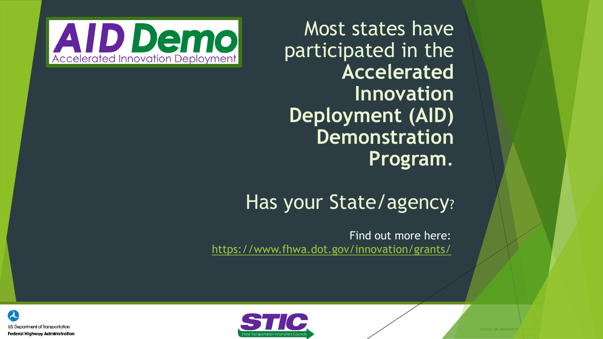Most states have participated in the **Accelerated Innovation Deployment (AID) Demonstration Program**.



#### Has your State/agency?

Find out more here: <https://www.fhwa.dot.gov/innovation/grants/>



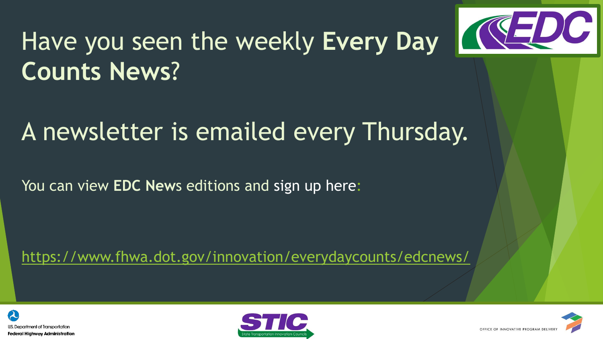

# Have you seen the weekly **Every Day 1994 DC Counts News**?

#### A newsletter is emailed every Thursday.

You can view **EDC New**s editions and sign up here:

<https://www.fhwa.dot.gov/innovation/everydaycounts/edcnews/>





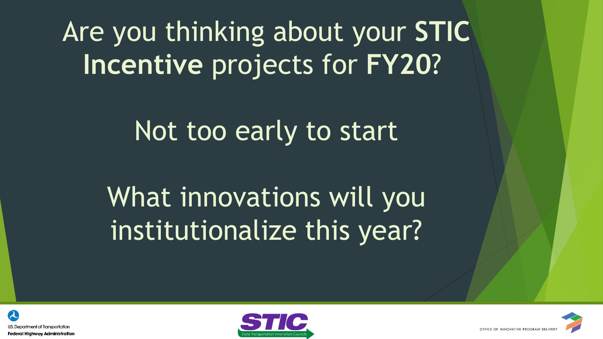Are you thinking about your **STIC Incentive** projects for **FY20**?

Not too early to start

What innovations will you institutionalize this year?





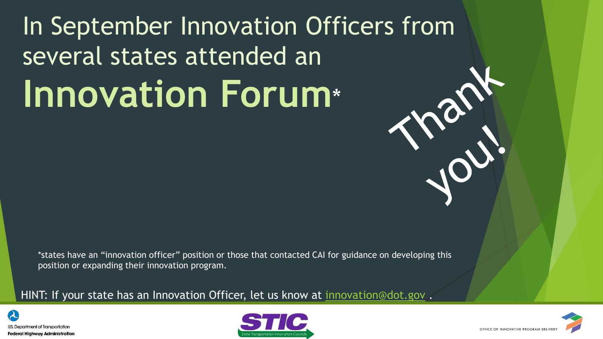# In September Innovation Officers from several states attended an **Innovation Forum**\*

\*states have an "innovation officer" position or those that contacted CAI for guidance on developing this position or expanding their innovation program.

HINT: If your state has an Innovation Officer, let us know at [innovation@dot.gov](mailto:innovation@dot.gov).





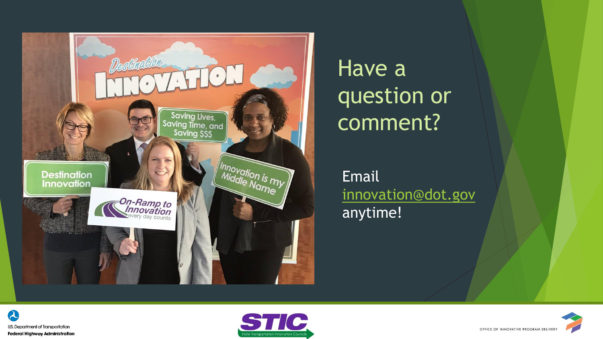

#### Have a question or comment?

Email [innovation@dot.gov](mailto:innovation@dot.gov) anytime!

![](_page_8_Picture_3.jpeg)

![](_page_8_Picture_4.jpeg)

![](_page_8_Picture_5.jpeg)